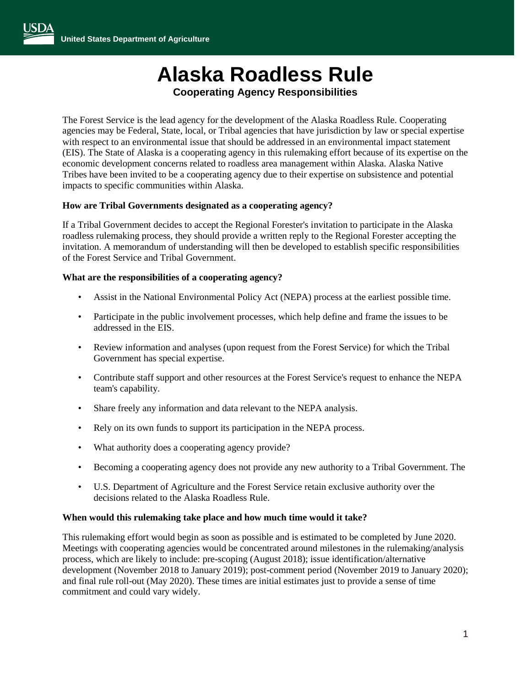# **Alaska Roadless Rule**

## **Cooperating Agency Responsibilities**

The Forest Service is the lead agency for the development of the Alaska Roadless Rule. Cooperating agencies may be Federal, State, local, or Tribal agencies that have jurisdiction by law or special expertise with respect to an environmental issue that should be addressed in an environmental impact statement (EIS). The State of Alaska is a cooperating agency in this rulemaking effort because of its expertise on the economic development concerns related to roadless area management within Alaska. Alaska Native Tribes have been invited to be a cooperating agency due to their expertise on subsistence and potential impacts to specific communities within Alaska.

### **How are Tribal Governments designated as a cooperating agency?**

If a Tribal Government decides to accept the Regional Forester's invitation to participate in the Alaska roadless rulemaking process, they should provide a written reply to the Regional Forester accepting the invitation. A memorandum of understanding will then be developed to establish specific responsibilities of the Forest Service and Tribal Government.

#### **What are the responsibilities of a cooperating agency?**

- Assist in the National Environmental Policy Act (NEPA) process at the earliest possible time.
- Participate in the public involvement processes, which help define and frame the issues to be addressed in the EIS.
- Review information and analyses (upon request from the Forest Service) for which the Tribal Government has special expertise.
- Contribute staff support and other resources at the Forest Service's request to enhance the NEPA team's capability.
- Share freely any information and data relevant to the NEPA analysis.
- Rely on its own funds to support its participation in the NEPA process.
- What authority does a cooperating agency provide?
- Becoming a cooperating agency does not provide any new authority to a Tribal Government. The
- U.S. Department of Agriculture and the Forest Service retain exclusive authority over the decisions related to the Alaska Roadless Rule.

#### **When would this rulemaking take place and how much time would it take?**

This rulemaking effort would begin as soon as possible and is estimated to be completed by June 2020. Meetings with cooperating agencies would be concentrated around milestones in the rulemaking/analysis process, which are likely to include: pre-scoping (August 2018); issue identification/alternative development (November 2018 to January 2019); post-comment period (November 2019 to January 2020); and final rule roll-out (May 2020). These times are initial estimates just to provide a sense of time commitment and could vary widely.